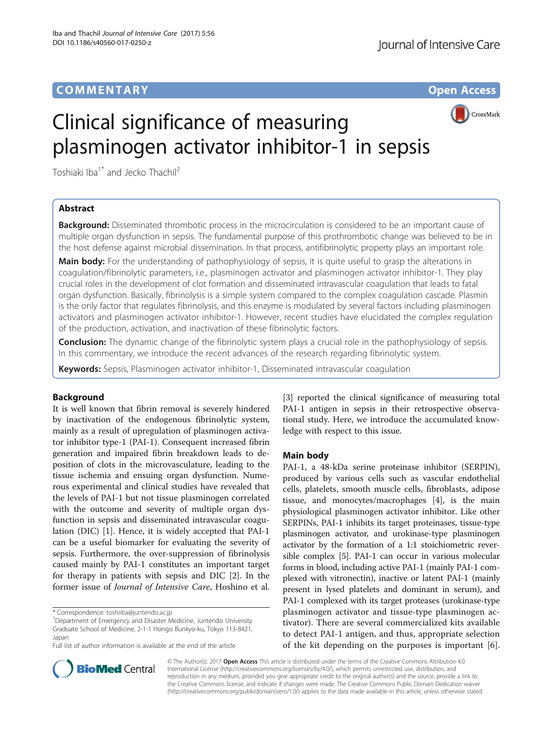# COMM EN TARY Open Access



# Clinical significance of measuring plasminogen activator inhibitor-1 in sepsis

Toshiaki Iba<sup>1\*</sup> and Jecko Thachil<sup>2</sup>

# Abstract

**Background:** Disseminated thrombotic process in the microcirculation is considered to be an important cause of multiple organ dysfunction in sepsis. The fundamental purpose of this prothrombotic change was believed to be in the host defense against microbial dissemination. In that process, antifibrinolytic property plays an important role.

Main body: For the understanding of pathophysiology of sepsis, it is quite useful to grasp the alterations in coagulation/fibrinolytic parameters, i.e., plasminogen activator and plasminogen activator inhibitor-1. They play crucial roles in the development of clot formation and disseminated intravascular coagulation that leads to fatal organ dysfunction. Basically, fibrinolysis is a simple system compared to the complex coagulation cascade. Plasmin is the only factor that regulates fibrinolysis, and this enzyme is modulated by several factors including plasminogen activators and plasminogen activator inhibitor-1. However, recent studies have elucidated the complex regulation of the production, activation, and inactivation of these fibrinolytic factors.

Conclusion: The dynamic change of the fibrinolytic system plays a crucial role in the pathophysiology of sepsis. In this commentary, we introduce the recent advances of the research regarding fibrinolytic system.

Keywords: Sepsis, Plasminogen activator inhibitor-1, Disseminated intravascular coagulation

# Background

It is well known that fibrin removal is severely hindered by inactivation of the endogenous fibrinolytic system, mainly as a result of upregulation of plasminogen activator inhibitor type-1 (PAI-1). Consequent increased fibrin generation and impaired fibrin breakdown leads to deposition of clots in the microvasculature, leading to the tissue ischemia and ensuing organ dysfunction. Numerous experimental and clinical studies have revealed that the levels of PAI-1 but not tissue plasminogen correlated with the outcome and severity of multiple organ dysfunction in sepsis and disseminated intravascular coagulation (DIC) [[1\]](#page-2-0). Hence, it is widely accepted that PAI-1 can be a useful biomarker for evaluating the severity of sepsis. Furthermore, the over-suppression of fibrinolysis caused mainly by PAI-1 constitutes an important target for therapy in patients with sepsis and DIC [\[2](#page-2-0)]. In the former issue of Journal of Intensive Care, Hoshino et al.

<sup>1</sup>Department of Emergency and Disaster Medicine, Juntendo University Graduate School of Medicine, 2-1-1 Hongo Bunkyo-ku, Tokyo 113-8421, Japan

Full list of author information is available at the end of the article

[[3\]](#page-2-0) reported the clinical significance of measuring total PAI-1 antigen in sepsis in their retrospective observational study. Here, we introduce the accumulated knowledge with respect to this issue.

## Main body

PAI-1, a 48-kDa serine proteinase inhibitor (SERPIN), produced by various cells such as vascular endothelial cells, platelets, smooth muscle cells, fibroblasts, adipose tissue, and monocytes/macrophages [[4\]](#page-2-0), is the main physiological plasminogen activator inhibitor. Like other SERPINs, PAI-1 inhibits its target proteinases, tissue-type plasminogen activator, and urokinase-type plasminogen activator by the formation of a 1:1 stoichiometric reversible complex [\[5\]](#page-2-0). PAI-1 can occur in various molecular forms in blood, including active PAI-1 (mainly PAI-1 complexed with vitronectin), inactive or latent PAI-1 (mainly present in lysed platelets and dominant in serum), and PAI-1 complexed with its target proteases (urokinase-type plasminogen activator and tissue-type plasminogen activator). There are several commercialized kits available to detect PAI-1 antigen, and thus, appropriate selection of the kit depending on the purposes is important [\[6](#page-2-0)].



© The Author(s). 2017 **Open Access** This article is distributed under the terms of the Creative Commons Attribution 4.0 International License [\(http://creativecommons.org/licenses/by/4.0/](http://creativecommons.org/licenses/by/4.0/)), which permits unrestricted use, distribution, and reproduction in any medium, provided you give appropriate credit to the original author(s) and the source, provide a link to the Creative Commons license, and indicate if changes were made. The Creative Commons Public Domain Dedication waiver [\(http://creativecommons.org/publicdomain/zero/1.0/](http://creativecommons.org/publicdomain/zero/1.0/)) applies to the data made available in this article, unless otherwise stated.

<sup>\*</sup> Correspondence: [toshiiba@juntendo.ac.jp](mailto:toshiiba@juntendo.ac.jp) <sup>1</sup>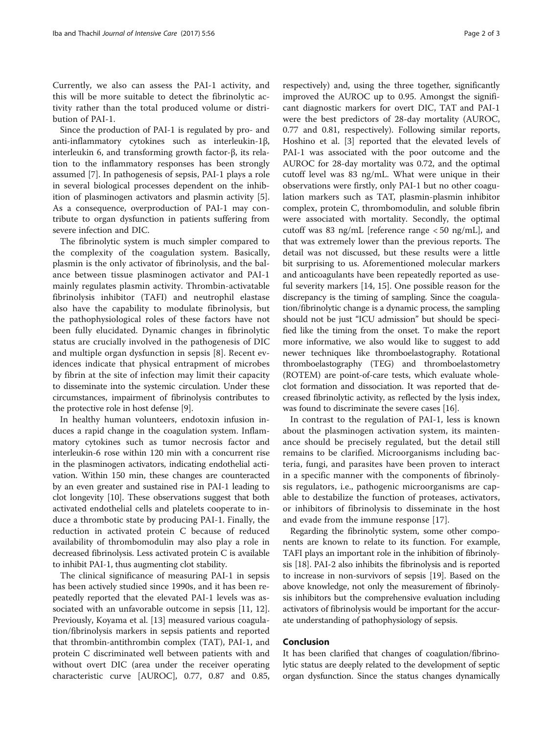Currently, we also can assess the PAI-1 activity, and this will be more suitable to detect the fibrinolytic activity rather than the total produced volume or distribution of PAI-1.

Since the production of PAI-1 is regulated by pro- and anti-inflammatory cytokines such as interleukin-1β, interleukin 6, and transforming growth factor-β, its relation to the inflammatory responses has been strongly assumed [[7\]](#page-2-0). In pathogenesis of sepsis, PAI-1 plays a role in several biological processes dependent on the inhibition of plasminogen activators and plasmin activity [\[5](#page-2-0)]. As a consequence, overproduction of PAI-1 may contribute to organ dysfunction in patients suffering from severe infection and DIC.

The fibrinolytic system is much simpler compared to the complexity of the coagulation system. Basically, plasmin is the only activator of fibrinolysis, and the balance between tissue plasminogen activator and PAI-1 mainly regulates plasmin activity. Thrombin-activatable fibrinolysis inhibitor (TAFI) and neutrophil elastase also have the capability to modulate fibrinolysis, but the pathophysiological roles of these factors have not been fully elucidated. Dynamic changes in fibrinolytic status are crucially involved in the pathogenesis of DIC and multiple organ dysfunction in sepsis [[8\]](#page-2-0). Recent evidences indicate that physical entrapment of microbes by fibrin at the site of infection may limit their capacity to disseminate into the systemic circulation. Under these circumstances, impairment of fibrinolysis contributes to the protective role in host defense [\[9\]](#page-2-0).

In healthy human volunteers, endotoxin infusion induces a rapid change in the coagulation system. Inflammatory cytokines such as tumor necrosis factor and interleukin-6 rose within 120 min with a concurrent rise in the plasminogen activators, indicating endothelial activation. Within 150 min, these changes are counteracted by an even greater and sustained rise in PAI-1 leading to clot longevity [[10](#page-2-0)]. These observations suggest that both activated endothelial cells and platelets cooperate to induce a thrombotic state by producing PAI-1. Finally, the reduction in activated protein C because of reduced availability of thrombomodulin may also play a role in decreased fibrinolysis. Less activated protein C is available to inhibit PAI-1, thus augmenting clot stability.

The clinical significance of measuring PAI-1 in sepsis has been actively studied since 1990s, and it has been repeatedly reported that the elevated PAI-1 levels was associated with an unfavorable outcome in sepsis [[11, 12](#page-2-0)]. Previously, Koyama et al. [\[13](#page-2-0)] measured various coagulation/fibrinolysis markers in sepsis patients and reported that thrombin-antithrombin complex (TAT), PAI-1, and protein C discriminated well between patients with and without overt DIC (area under the receiver operating characteristic curve [AUROC], 0.77, 0.87 and 0.85,

respectively) and, using the three together, significantly improved the AUROC up to 0.95. Amongst the significant diagnostic markers for overt DIC, TAT and PAI-1 were the best predictors of 28-day mortality (AUROC, 0.77 and 0.81, respectively). Following similar reports, Hoshino et al. [\[3\]](#page-2-0) reported that the elevated levels of PAI-1 was associated with the poor outcome and the AUROC for 28-day mortality was 0.72, and the optimal cutoff level was 83 ng/mL. What were unique in their observations were firstly, only PAI-1 but no other coagulation markers such as TAT, plasmin-plasmin inhibitor complex, protein C, thrombomodulin, and soluble fibrin were associated with mortality. Secondly, the optimal cutoff was 83 ng/mL [reference range < 50 ng/mL], and that was extremely lower than the previous reports. The detail was not discussed, but these results were a little bit surprising to us. Aforementioned molecular markers and anticoagulants have been repeatedly reported as useful severity markers [[14, 15\]](#page-2-0). One possible reason for the discrepancy is the timing of sampling. Since the coagulation/fibrinolytic change is a dynamic process, the sampling should not be just "ICU admission" but should be specified like the timing from the onset. To make the report more informative, we also would like to suggest to add newer techniques like thromboelastography. Rotational thromboelastography (TEG) and thromboelastometry (ROTEM) are point-of-care tests, which evaluate wholeclot formation and dissociation. It was reported that decreased fibrinolytic activity, as reflected by the lysis index, was found to discriminate the severe cases [[16](#page-2-0)].

In contrast to the regulation of PAI-1, less is known about the plasminogen activation system, its maintenance should be precisely regulated, but the detail still remains to be clarified. Microorganisms including bacteria, fungi, and parasites have been proven to interact in a specific manner with the components of fibrinolysis regulators, i.e., pathogenic microorganisms are capable to destabilize the function of proteases, activators, or inhibitors of fibrinolysis to disseminate in the host and evade from the immune response [[17\]](#page-2-0).

Regarding the fibrinolytic system, some other components are known to relate to its function. For example, TAFI plays an important role in the inhibition of fibrinolysis [[18](#page-2-0)]. PAI-2 also inhibits the fibrinolysis and is reported to increase in non-survivors of sepsis [[19](#page-2-0)]. Based on the above knowledge, not only the measurement of fibrinolysis inhibitors but the comprehensive evaluation including activators of fibrinolysis would be important for the accurate understanding of pathophysiology of sepsis.

## Conclusion

It has been clarified that changes of coagulation/fibrinolytic status are deeply related to the development of septic organ dysfunction. Since the status changes dynamically